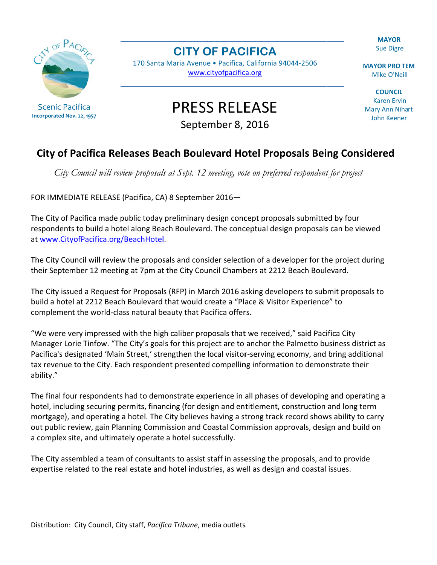**MAYOR Sue Digre** 

**MAYOR PRO TEM** Mike O'Neill

**COUNCIL Karen Ervin** Mary Ann Nihart **John Keener** 



## **CITY OF PACIFICA**

170 Santa Maria Avenue · Pacifica, California 94044-2506 www.cityofpacifica.org

**PRESS RELEASE** 

September 8, 2016

## City of Pacifica Releases Beach Boulevard Hotel Proposals Being Considered

City Council will review proposals at Sept. 12 meeting, vote on preferred respondent for project

FOR IMMEDIATE RELEASE (Pacifica, CA) 8 September 2016-

The City of Pacifica made public today preliminary design concept proposals submitted by four respondents to build a hotel along Beach Boulevard. The conceptual design proposals can be viewed at www.CityofPacifica.org/BeachHotel.

The City Council will review the proposals and consider selection of a developer for the project during their September 12 meeting at 7pm at the City Council Chambers at 2212 Beach Boulevard.

The City issued a Request for Proposals (RFP) in March 2016 asking developers to submit proposals to build a hotel at 2212 Beach Boulevard that would create a "Place & Visitor Experience" to complement the world-class natural beauty that Pacifica offers.

"We were very impressed with the high caliber proposals that we received," said Pacifica City Manager Lorie Tinfow. "The City's goals for this project are to anchor the Palmetto business district as Pacifica's designated 'Main Street,' strengthen the local visitor-serving economy, and bring additional tax revenue to the City. Each respondent presented compelling information to demonstrate their ability."

The final four respondents had to demonstrate experience in all phases of developing and operating a hotel, including securing permits, financing (for design and entitlement, construction and long term mortgage), and operating a hotel. The City believes having a strong track record shows ability to carry out public review, gain Planning Commission and Coastal Commission approvals, design and build on a complex site, and ultimately operate a hotel successfully.

The City assembled a team of consultants to assist staff in assessing the proposals, and to provide expertise related to the real estate and hotel industries, as well as design and coastal issues.